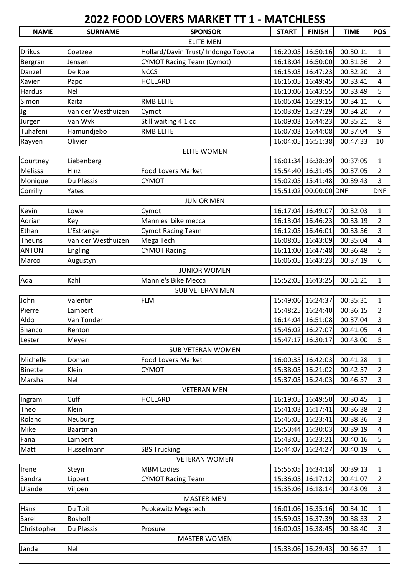## **2022 FOOD LOVERS MARKET TT 1 - MATCHLESS**

| <b>NAME</b>        | <b>SURNAME</b>     | <b>SPONSOR</b>                      | <b>START</b> | <b>FINISH</b>     | <b>TIME</b> | <b>POS</b>     |  |  |  |  |  |
|--------------------|--------------------|-------------------------------------|--------------|-------------------|-------------|----------------|--|--|--|--|--|
|                    |                    | <b>ELITE MEN</b>                    |              |                   |             |                |  |  |  |  |  |
| <b>Drikus</b>      | Coetzee            | Hollard/Davin Trust/ Indongo Toyota |              | 16:20:05 16:50:16 | 00:30:11    | 1              |  |  |  |  |  |
| Bergran            | Jensen             | <b>CYMOT Racing Team (Cymot)</b>    | 16:18:04     | 16:50:00          | 00:31:56    | $\overline{2}$ |  |  |  |  |  |
| Danzel             | De Koe             | <b>NCCS</b>                         |              | 16:15:03 16:47:23 | 00:32:20    | $\overline{3}$ |  |  |  |  |  |
| Xavier             | Papo               | <b>HOLLARD</b>                      |              | 16:16:05 16:49:45 | 00:33:41    | 4              |  |  |  |  |  |
| Hardus             | Nel                |                                     |              | 16:10:06 16:43:55 | 00:33:49    | 5              |  |  |  |  |  |
| Simon              | Kaita              | <b>RMB ELITE</b>                    | 16:05:04     | 16:39:15          | 00:34:11    | 6              |  |  |  |  |  |
| Jg                 | Van der Westhuizen | Cymot                               |              | 15:03:09 15:37:29 | 00:34:20    | $\overline{7}$ |  |  |  |  |  |
| Jurgen             | Van Wyk            | Still waiting 4 1 cc                |              | 16:09:03 16:44:23 | 00:35:21    | 8              |  |  |  |  |  |
| Tuhafeni           | Hamundjebo         | <b>RMB ELITE</b>                    |              | 16:07:03 16:44:08 | 00:37:04    | 9              |  |  |  |  |  |
| Rayven             | Olivier            |                                     | 16:04:05     | 16:51:38          | 00:47:33    | 10             |  |  |  |  |  |
| <b>ELITE WOMEN</b> |                    |                                     |              |                   |             |                |  |  |  |  |  |
| Courtney           | Liebenberg         |                                     |              | 16:01:34 16:38:39 | 00:37:05    | 1              |  |  |  |  |  |
| Melissa            | Hinz               | <b>Food Lovers Market</b>           |              | 15:54:40 16:31:45 | 00:37:05    | $\overline{2}$ |  |  |  |  |  |
| Monique            | Du Plessis         | <b>CYMOT</b>                        |              | 15:02:05 15:41:48 | 00:39:43    | 3              |  |  |  |  |  |
| Corrilly           | Yates              |                                     | 15:51:02     | 00:00:00 DNF      |             | <b>DNF</b>     |  |  |  |  |  |
|                    |                    | <b>JUNIOR MEN</b>                   |              |                   |             |                |  |  |  |  |  |
| Kevin              | Lowe               | Cymot                               | 16:17:04     | 16:49:07          | 00:32:03    | $\mathbf{1}$   |  |  |  |  |  |
| Adrian             | Key                | Mannies bike mecca                  | 16:13:04     | 16:46:23          | 00:33:19    | $\overline{2}$ |  |  |  |  |  |
| Ethan              | L'Estrange         | <b>Cymot Racing Team</b>            |              | 16:12:05 16:46:01 | 00:33:56    | $\overline{3}$ |  |  |  |  |  |
| Theuns             | Van der Westhuizen | Mega Tech                           | 16:08:05     | 16:43:09          | 00:35:04    | 4              |  |  |  |  |  |
| <b>ANTON</b>       | Engling            | <b>CYMOT Racing</b>                 |              | 16:11:00 16:47:48 | 00:36:48    | 5              |  |  |  |  |  |
| Marco              | Augustyn           |                                     | 16:06:05     | 16:43:23          | 00:37:19    | 6              |  |  |  |  |  |
|                    |                    | <b>JUNIOR WOMEN</b>                 |              |                   |             |                |  |  |  |  |  |
| Ada                | Kahl               | Mannie's Bike Mecca                 |              | 15:52:05 16:43:25 | 00:51:21    | $\mathbf{1}$   |  |  |  |  |  |
|                    |                    | <b>SUB VETERAN MEN</b>              |              |                   |             |                |  |  |  |  |  |
| John               | Valentin           | <b>FLM</b>                          |              | 15:49:06 16:24:37 | 00:35:31    | $\mathbf{1}$   |  |  |  |  |  |
| Pierre             | Lambert            |                                     | 15:48:25     | 16:24:40          | 00:36:15    | $\overline{2}$ |  |  |  |  |  |
| Aldo               | Van Tonder         |                                     |              | 16:14:04 16:51:08 | 00:37:04    | 3              |  |  |  |  |  |
| Shanco             | Renton             |                                     |              | 15:46:02 16:27:07 | 00:41:05    | 4              |  |  |  |  |  |
| Lester             | Meyer              |                                     |              | 15:47:17 16:30:17 | 00:43:00    | 5              |  |  |  |  |  |
|                    |                    | <b>SUB VETERAN WOMEN</b>            |              |                   |             |                |  |  |  |  |  |
| Michelle           | Doman              | <b>Food Lovers Market</b>           |              | 16:00:35 16:42:03 | 00:41:28    | 1              |  |  |  |  |  |
| <b>Binette</b>     | Klein              | <b>CYMOT</b>                        |              | 15:38:05 16:21:02 | 00:42:57    | $\overline{2}$ |  |  |  |  |  |
| Marsha             | Nel                |                                     |              | 15:37:05 16:24:03 | 00:46:57    | 3              |  |  |  |  |  |
|                    |                    | <b>VETERAN MEN</b>                  |              |                   |             |                |  |  |  |  |  |
| Ingram             | Cuff               | <b>HOLLARD</b>                      |              | 16:19:05 16:49:50 | 00:30:45    | $\mathbf{1}$   |  |  |  |  |  |
| Theo               | Klein              |                                     |              | 15:41:03 16:17:41 | 00:36:38    | $\overline{2}$ |  |  |  |  |  |
| Roland             | Neuburg            |                                     |              | 15:45:05 16:23:41 | 00:38:36    | 3              |  |  |  |  |  |
| Mike               | Baartman           |                                     |              | 15:50:44 16:30:03 | 00:39:19    | 4              |  |  |  |  |  |
| Fana               | Lambert            |                                     |              | 15:43:05 16:23:21 | 00:40:16    | 5              |  |  |  |  |  |
| Matt               | Husselmann         | <b>SBS Trucking</b>                 | 15:44:07     | 16:24:27          | 00:40:19    | 6              |  |  |  |  |  |
|                    |                    | <b>VETERAN WOMEN</b>                |              |                   |             |                |  |  |  |  |  |
| Irene              | Steyn              | <b>MBM Ladies</b>                   |              | 15:55:05 16:34:18 | 00:39:13    | 1              |  |  |  |  |  |
| Sandra             | Lippert            | <b>CYMOT Racing Team</b>            |              | 15:36:05 16:17:12 | 00:41:07    | $\overline{2}$ |  |  |  |  |  |
| Ulande             | Viljoen            |                                     |              | 15:35:06 16:18:14 | 00:43:09    | 3              |  |  |  |  |  |
| <b>MASTER MEN</b>  |                    |                                     |              |                   |             |                |  |  |  |  |  |
| Hans               | Du Toit            | Pupkewitz Megatech                  |              | 16:01:06 16:35:16 | 00:34:10    | 1              |  |  |  |  |  |
| Sarel              | <b>Boshoff</b>     |                                     |              | 15:59:05 16:37:39 | 00:38:33    | $\overline{2}$ |  |  |  |  |  |
| Christopher        | Du Plessis         | Prosure                             | 16:00:05     | 16:38:45          | 00:38:40    | 3              |  |  |  |  |  |
|                    |                    | <b>MASTER WOMEN</b>                 |              |                   |             |                |  |  |  |  |  |
| Janda              | Nel                |                                     |              | 15:33:06 16:29:43 | 00:56:37    | $\mathbf{1}$   |  |  |  |  |  |
|                    |                    |                                     |              |                   |             |                |  |  |  |  |  |